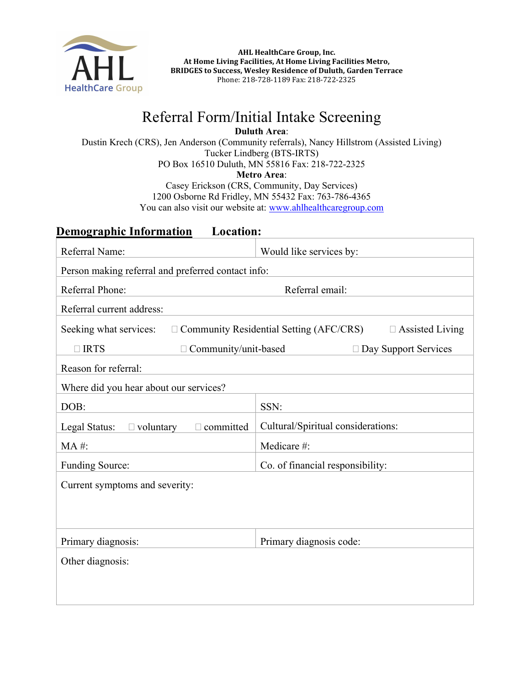

AHL HealthCare Group, Inc. At Home Living Facilities, At Home Living Facilities Metro, BRIDGES to Success, Wesley Residence of Duluth, Garden Terrace Phone: 218-728-1189 Fax: 218-722-2325

## Referral Form/Initial Intake Screening

Duluth Area:

Dustin Krech (CRS), Jen Anderson (Community referrals), Nancy Hillstrom (Assisted Living) Tucker Lindberg (BTS-IRTS) PO Box 16510 Duluth, MN 55816 Fax: 218-722-2325

Metro Area:

Casey Erickson (CRS, Community, Day Services) 1200 Osborne Rd Fridley, MN 55432 Fax: 763-786-4365 You can also visit our website at: www.ahlhealthcaregroup.com

## Demographic Information Location:

| Referral Name:                                                                                     | Would like services by:            |  |
|----------------------------------------------------------------------------------------------------|------------------------------------|--|
| Person making referral and preferred contact info:                                                 |                                    |  |
| Referral Phone:                                                                                    | Referral email:                    |  |
| Referral current address:                                                                          |                                    |  |
| $\Box$ Community Residential Setting (AFC/CRS)<br>Seeking what services:<br>$\Box$ Assisted Living |                                    |  |
| $\Box$ IRTS<br>Community/unit-based                                                                | □ Day Support Services             |  |
| Reason for referral:                                                                               |                                    |  |
| Where did you hear about our services?                                                             |                                    |  |
| DOB:                                                                                               | SSN:                               |  |
| $\Box$ voluntary<br>Legal Status:<br>$\Box$ committed                                              | Cultural/Spiritual considerations: |  |
| MA #:                                                                                              | Medicare #:                        |  |
| <b>Funding Source:</b>                                                                             | Co. of financial responsibility:   |  |
| Current symptoms and severity:                                                                     |                                    |  |
|                                                                                                    |                                    |  |
|                                                                                                    |                                    |  |
| Primary diagnosis:                                                                                 | Primary diagnosis code:            |  |
| Other diagnosis:                                                                                   |                                    |  |
|                                                                                                    |                                    |  |
|                                                                                                    |                                    |  |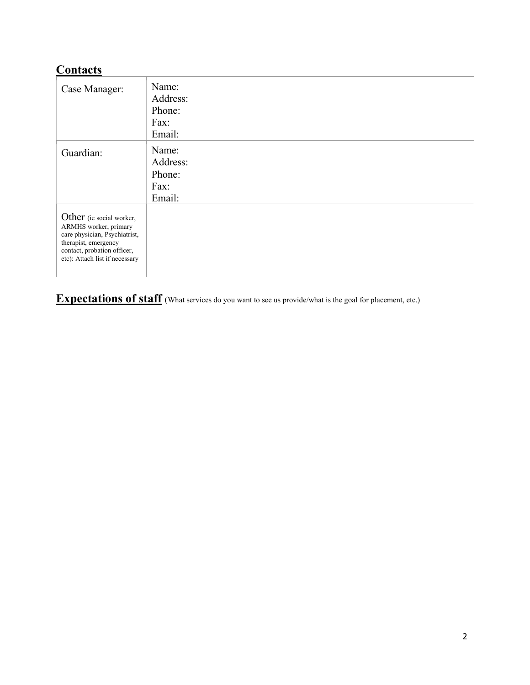## **Contacts**

| Case Manager:                                                                                                                                                               | Name:<br>Address:<br>Phone:<br>Fax:<br>Email: |
|-----------------------------------------------------------------------------------------------------------------------------------------------------------------------------|-----------------------------------------------|
| Guardian:                                                                                                                                                                   | Name:<br>Address:<br>Phone:<br>Fax:<br>Email: |
| Other (ie social worker,<br>ARMHS worker, primary<br>care physician, Psychiatrist,<br>therapist, emergency<br>contact, probation officer,<br>etc): Attach list if necessary |                                               |

**Expectations of staff** (What services do you want to see us provide/what is the goal for placement, etc.)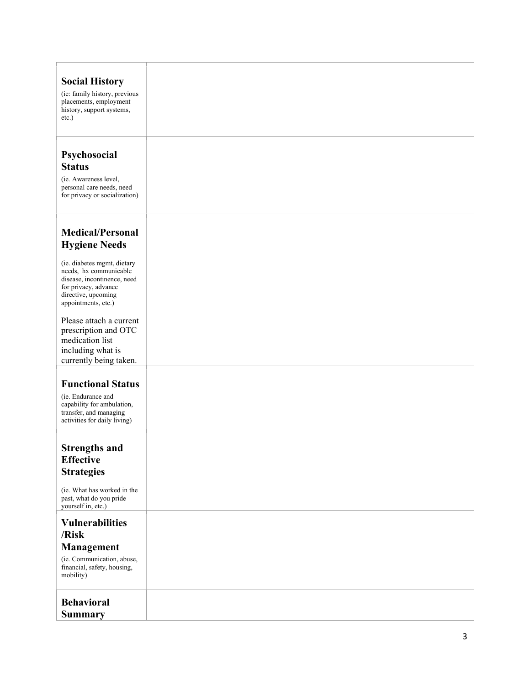| <b>Social History</b><br>(ie: family history, previous<br>placements, employment<br>history, support systems,<br>$etc.$ )                                  |  |
|------------------------------------------------------------------------------------------------------------------------------------------------------------|--|
| Psychosocial<br><b>Status</b><br>(ie. Awareness level,<br>personal care needs, need<br>for privacy or socialization)                                       |  |
| <b>Medical/Personal</b><br><b>Hygiene Needs</b>                                                                                                            |  |
| (ie. diabetes mgmt, dietary<br>needs, hx communicable<br>disease, incontinence, need<br>for privacy, advance<br>directive, upcoming<br>appointments, etc.) |  |
| Please attach a current<br>prescription and OTC<br>medication list<br>including what is<br>currently being taken.                                          |  |
| <b>Functional Status</b>                                                                                                                                   |  |
| (ie. Endurance and<br>capability for ambulation,<br>transfer, and managing<br>activities for daily living)                                                 |  |
| <b>Strengths and</b><br><b>Effective</b><br><b>Strategies</b>                                                                                              |  |
| (ie. What has worked in the<br>past, what do you pride<br>yourself in, etc.)                                                                               |  |
| <b>Vulnerabilities</b><br>/Risk<br><b>Management</b><br>(ie. Communication, abuse,<br>financial, safety, housing,<br>mobility)                             |  |
| <b>Behavioral</b><br><b>Summary</b>                                                                                                                        |  |